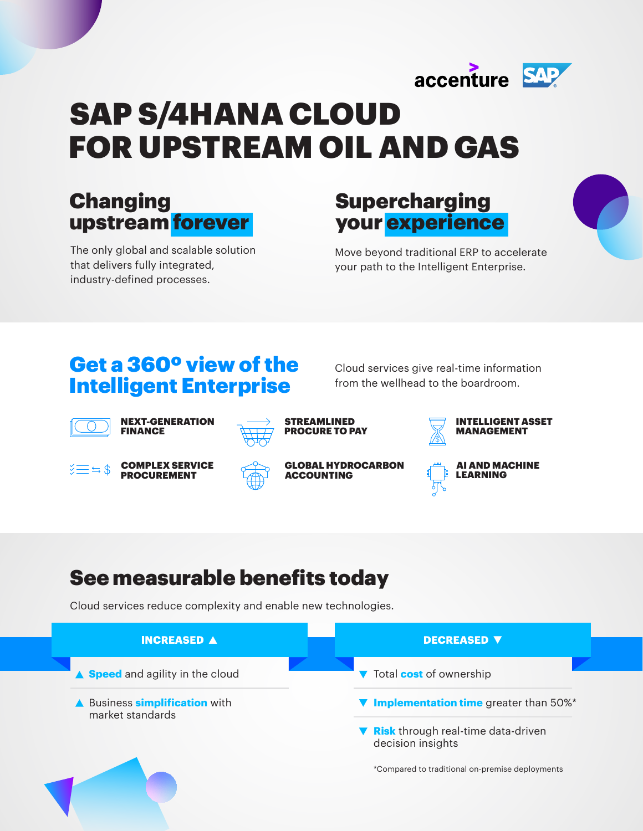

# SAP S/4HANA CLOUD FOR UPSTREAM OIL AND GAS

# Changing upstream forever

The only global and scalable solution that delivers fully integrated, industry-defined processes.

## **Supercharging** your experience

Move beyond traditional ERP to accelerate your path to the Intelligent Enterprise.

### Get a 360º view of the Intelligent Enterprise

Cloud services give real-time information from the wellhead to the boardroom.



NEXT-GENERATION FINANCE



STREAMLINED PROCURE TO PAY



INTELLIGENT ASSET MANAGEMENT

AI AND MACHINE LEARNING



COMPLEX SERVICE PROCUREMENT



GLOBAL HYDROCARBON ACCOUNTING

# See measurable benefits today

Cloud services reduce complexity and enable new technologies.